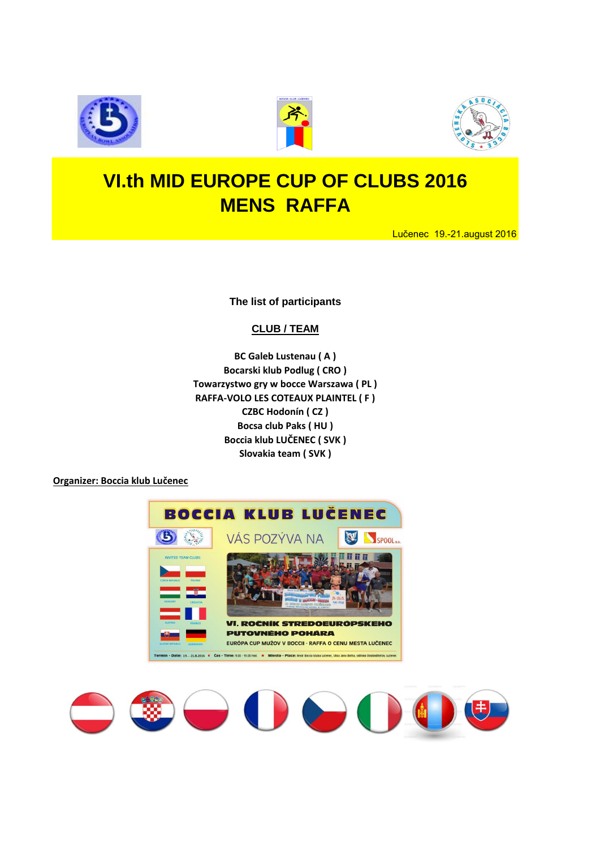





## **VI.th MID EUROPE CUP OF CLUBS 2016 MENS RAFFA**

Lučenec 19.-21.august 2016

**The list of participants**

#### **CLUB / TEAM**

**BC Galeb Lustenau ( A ) Bocarski klub Podlug ( CRO ) Towarzystwo gry w bocce Warszawa ( PL ) RAFFA-VOLO LES COTEAUX PLAINTEL ( F ) CZBC Hodonín ( CZ ) Bocsa club Paks ( HU ) Boccia klub LUČENEC ( SVK ) Slovakia team ( SVK )**

**Organizer: Boccia klub Lučenec**



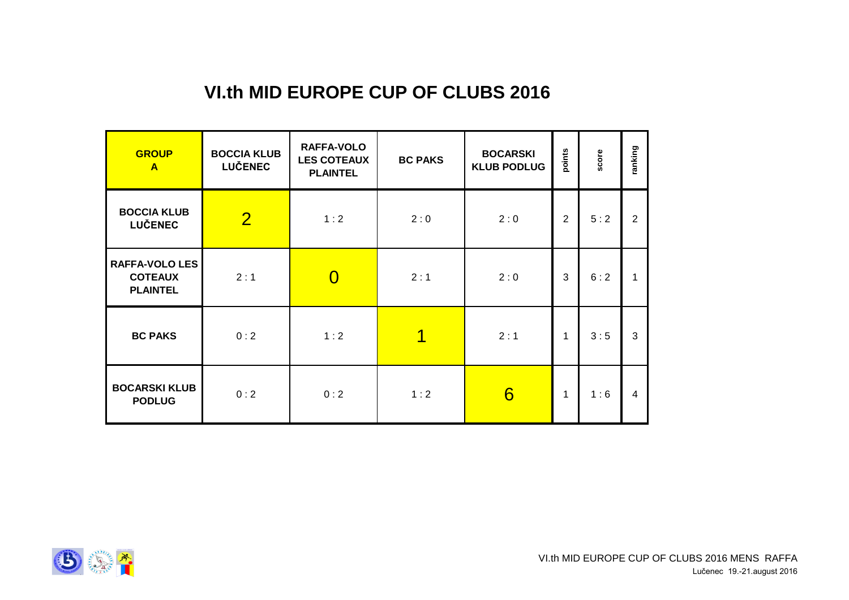## **VI.th MID EUROPE CUP OF CLUBS 2016**

| <b>GROUP</b><br>$\mathbf{A}$                               | <b>BOCCIA KLUB</b><br><b>LUČENEC</b> | <b>RAFFA-VOLO</b><br><b>LES COTEAUX</b><br><b>PLAINTEL</b> | <b>BC PAKS</b> | <b>BOCARSKI</b><br><b>KLUB PODLUG</b> | points | score | ranking        |
|------------------------------------------------------------|--------------------------------------|------------------------------------------------------------|----------------|---------------------------------------|--------|-------|----------------|
| <b>BOCCIA KLUB</b><br><b>LUČENEC</b>                       | $\overline{2}$                       | 1:2                                                        | 2:0            | 2:0                                   | 2      | 5:2   | $\overline{2}$ |
| <b>RAFFA-VOLO LES</b><br><b>COTEAUX</b><br><b>PLAINTEL</b> | 2:1                                  | $\Omega$                                                   | 2:1            | 2:0                                   | 3      | 6:2   | 1              |
| <b>BC PAKS</b>                                             | 0:2                                  | 1:2                                                        | 1              | 2:1                                   | 1      | 3:5   | 3              |
| <b>BOCARSKI KLUB</b><br><b>PODLUG</b>                      | 0:2                                  | 0:2                                                        | 1:2            | 6                                     | 1      | 1:6   | 4              |

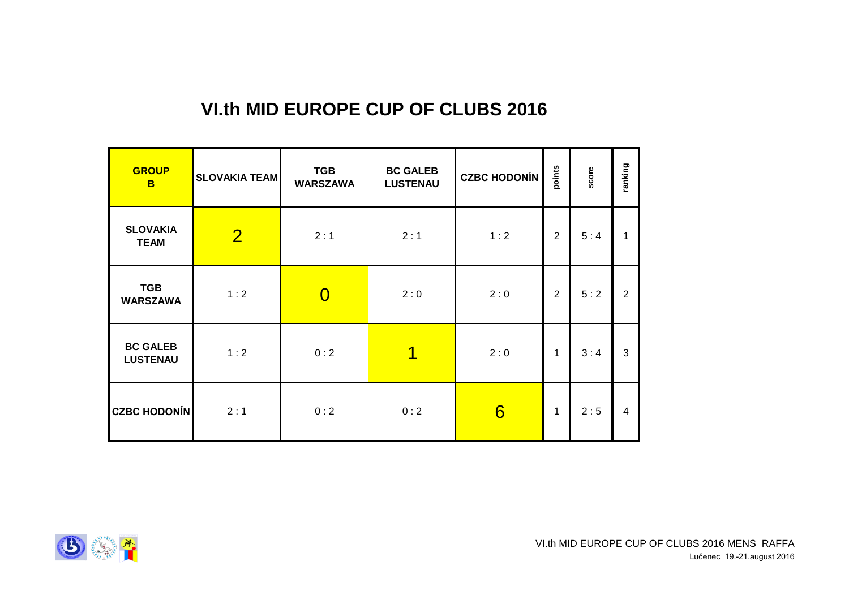### **VI.th MID EUROPE CUP OF CLUBS 2016**

| <b>GROUP</b><br>B                  | <b>SLOVAKIA TEAM</b> | <b>TGB</b><br><b>WARSZAWA</b> | <b>BC GALEB</b><br><b>LUSTENAU</b> | <b>CZBC HODONÍN</b> | points         | score | ranking        |
|------------------------------------|----------------------|-------------------------------|------------------------------------|---------------------|----------------|-------|----------------|
| <b>SLOVAKIA</b><br><b>TEAM</b>     | $\overline{2}$       | 2:1                           | 2:1                                | 1:2                 | $\overline{2}$ | 5:4   |                |
| <b>TGB</b><br><b>WARSZAWA</b>      | 1:2                  | $\overline{0}$                | 2:0                                | 2:0                 | $\overline{2}$ | 5:2   | $\overline{2}$ |
| <b>BC GALEB</b><br><b>LUSTENAU</b> | 1:2                  | 0:2                           | 1                                  | 2:0                 | 1              | 3:4   | 3              |
| <b>CZBC HODONÍN</b>                | 2:1                  | 0:2                           | 0:2                                | 6                   | 1              | 2:5   | 4              |

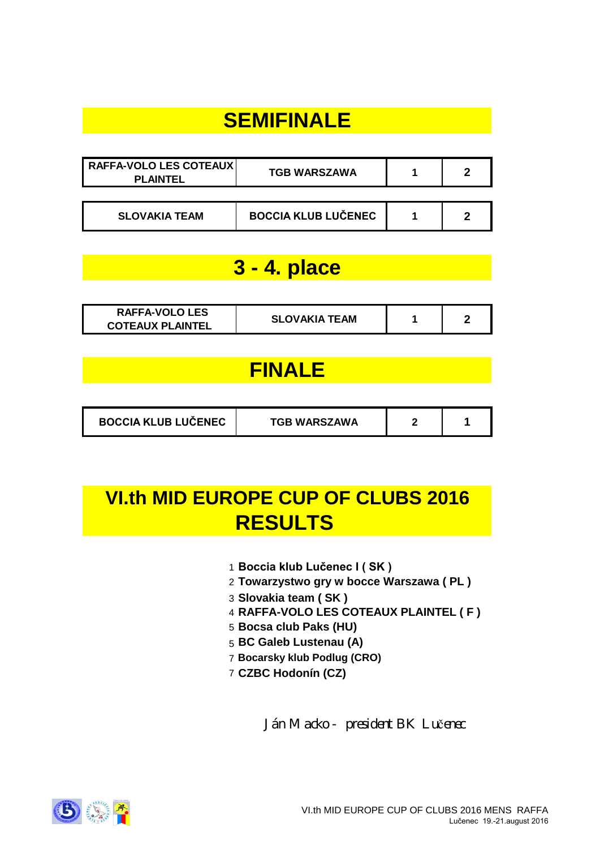# **SEMIFINALE**

| RAFFA-VOLO LES COTEAUX<br><b>PLAINTEL</b> | <b>TGB WARSZAWA</b>        |  |
|-------------------------------------------|----------------------------|--|
|                                           |                            |  |
| <b>SLOVAKIA TEAM</b>                      | <b>BOCCIA KLUB LUČENEC</b> |  |

## **3 - 4. place**

| <b>RAFFA-VOLO LES</b>   | <b>SLOVAKIA TEAM</b> |  |
|-------------------------|----------------------|--|
| <b>COTEAUX PLAINTEL</b> |                      |  |

## **FINALE**

| <b>BOCCIA KLUB LUČENEC</b><br><b>TGB WARSZAWA</b> |  |  |
|---------------------------------------------------|--|--|
|---------------------------------------------------|--|--|

# **VI.th MID EUROPE CUP OF CLUBS 2016 RESULTS**

- 1 **Boccia klub Lučenec I ( SK )**
- 2 **Towarzystwo gry w bocce Warszawa ( PL )**
- 3 **Slovakia team ( SK )**
- 4 **RAFFA-VOLO LES COTEAUX PLAINTEL ( F )**
- 5 **Bocsa club Paks (HU)**
- 5 **BC Galeb Lustenau (A)**
- 7 **Bocarsky klub Podlug (CRO)**
- 7 **CZBC Hodonín (CZ)**

*Ján Macko - president BK Lu*č*enec*